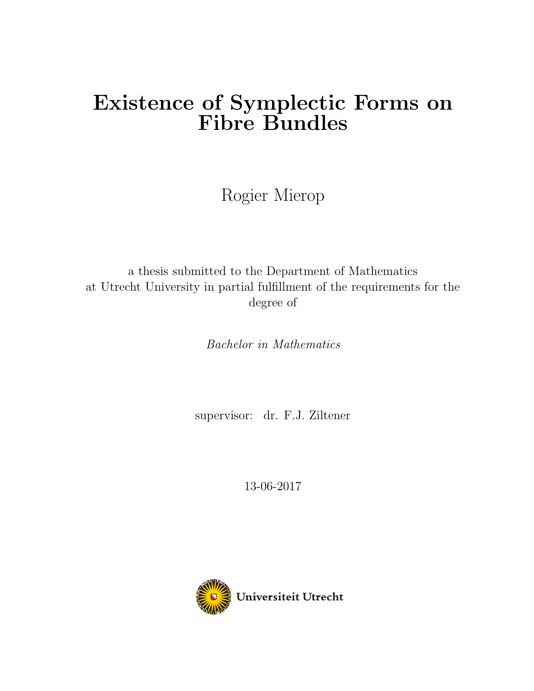# Existence of Symplectic Forms on Fibre Bundles

Rogier Mierop

a thesis submitted to the Department of Mathematics at Utrecht University in partial fulfillment of the requirements for the degree of

Bachelor in Mathematics

supervisor: dr. F.J. Ziltener

13-06-2017

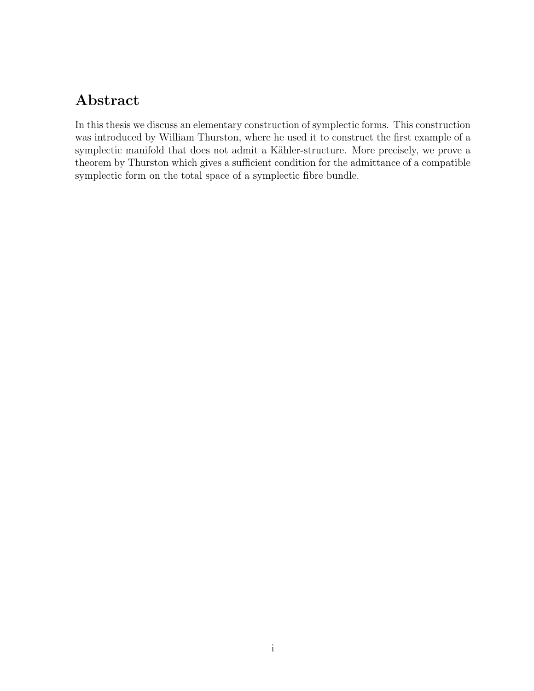## Abstract

In this thesis we discuss an elementary construction of symplectic forms. This construction was introduced by William Thurston, where he used it to construct the first example of a symplectic manifold that does not admit a Kähler-structure. More precisely, we prove a theorem by Thurston which gives a sufficient condition for the admittance of a compatible symplectic form on the total space of a symplectic fibre bundle.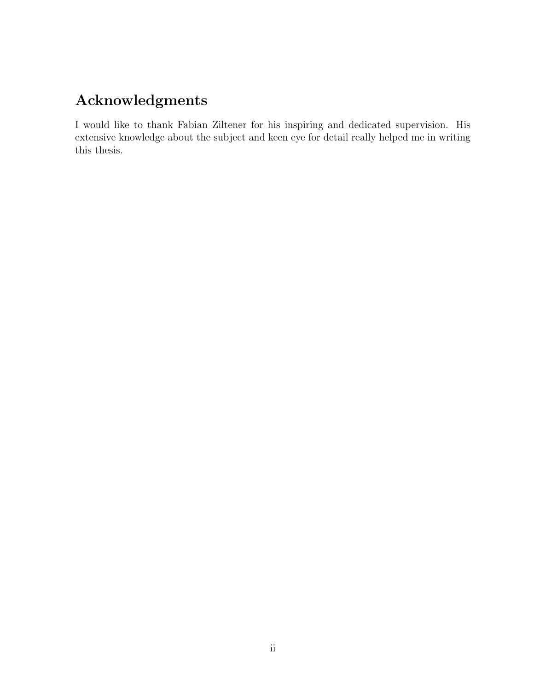## Acknowledgments

I would like to thank Fabian Ziltener for his inspiring and dedicated supervision. His extensive knowledge about the subject and keen eye for detail really helped me in writing this thesis.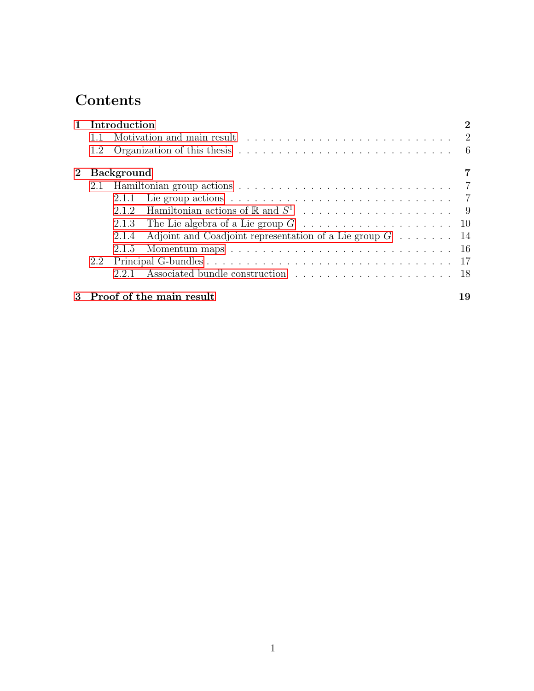## Contents

|         | 1 Introduction |       |                                                                                                      | $\bf{2}$ |
|---------|----------------|-------|------------------------------------------------------------------------------------------------------|----------|
|         | 11             |       | Motivation and main result $\dots \dots \dots \dots \dots \dots \dots \dots \dots \dots \dots \dots$ |          |
|         | 1.2            |       | Organization of this thesis $\ldots \ldots \ldots \ldots \ldots \ldots \ldots \ldots \ldots$         |          |
| $2^{-}$ | Background     |       |                                                                                                      |          |
|         | 2.1            |       |                                                                                                      |          |
|         |                | 2.1.1 | Lie group actions $\ldots \ldots \ldots \ldots \ldots \ldots \ldots \ldots \ldots$                   |          |
|         |                |       |                                                                                                      |          |
|         |                |       |                                                                                                      |          |
|         |                | 2.1.4 | Adjoint and Coadjoint representation of a Lie group $G \dots \dots \dots 14$                         |          |
|         |                | 2.1.5 |                                                                                                      |          |
| 2.2     |                |       |                                                                                                      |          |
|         |                | 2.2.1 |                                                                                                      |          |
|         |                |       | 3 Proof of the main result                                                                           | 19       |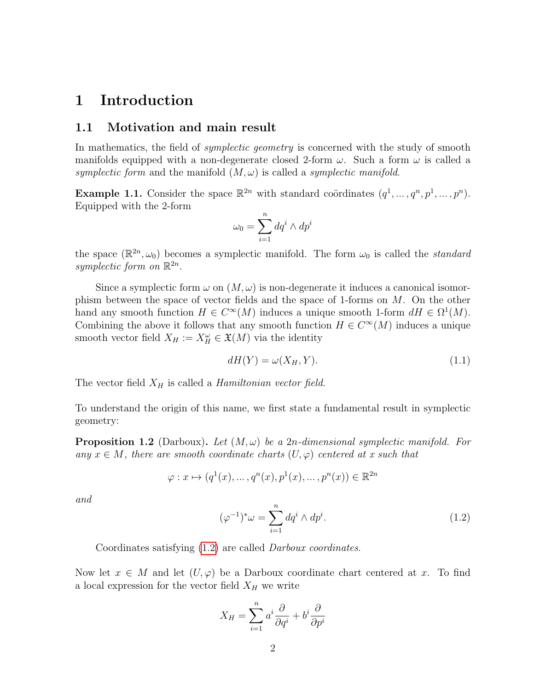### <span id="page-4-0"></span>1 Introduction

#### <span id="page-4-1"></span>1.1 Motivation and main result

In mathematics, the field of *symplectic geometry* is concerned with the study of smooth manifolds equipped with a non-degenerate closed 2-form  $\omega$ . Such a form  $\omega$  is called a symplectic form and the manifold  $(M, \omega)$  is called a symplectic manifold.

**Example 1.1.** Consider the space  $\mathbb{R}^{2n}$  with standard coördinates  $(q^1, \ldots, q^n, p^1, \ldots, p^n)$ . Equipped with the 2-form

$$
\omega_0 = \sum_{i=1}^n dq^i \wedge dp^i
$$

the space  $(\mathbb{R}^{2n}, \omega_0)$  becomes a symplectic manifold. The form  $\omega_0$  is called the *standard* symplectic form on  $\mathbb{R}^{2n}$ .

Since a symplectic form  $\omega$  on  $(M, \omega)$  is non-degenerate it induces a canonical isomorphism between the space of vector fields and the space of 1-forms on M. On the other hand any smooth function  $H \in C^{\infty}(M)$  induces a unique smooth 1-form  $dH \in \Omega^1(M)$ . Combining the above it follows that any smooth function  $H \in C^{\infty}(M)$  induces a unique smooth vector field  $X_H := X_H^{\omega} \in \mathfrak{X}(M)$  via the identity

<span id="page-4-4"></span>
$$
dH(Y) = \omega(X_H, Y). \tag{1.1}
$$

The vector field  $X_H$  is called a *Hamiltonian vector field*.

To understand the origin of this name, we first state a fundamental result in symplectic geometry:

<span id="page-4-3"></span>**Proposition 1.2** (Darboux). Let  $(M, \omega)$  be a 2n-dimensional symplectic manifold. For any  $x \in M$ , there are smooth coordinate charts  $(U, \varphi)$  centered at x such that

$$
\varphi: x \mapsto (q^1(x), \dots, q^n(x), p^1(x), \dots, p^n(x)) \in \mathbb{R}^{2n}
$$

and

<span id="page-4-2"></span>
$$
(\varphi^{-1})^* \omega = \sum_{i=1}^n dq^i \wedge dp^i.
$$
 (1.2)

Coordinates satisfying [\(1.2\)](#page-4-2) are called Darboux coordinates.

Now let  $x \in M$  and let  $(U, \varphi)$  be a Darboux coordinate chart centered at x. To find a local expression for the vector field  $X_H$  we write

$$
X_H = \sum_{i=1}^n a^i \frac{\partial}{\partial q^i} + b^i \frac{\partial}{\partial p^i}
$$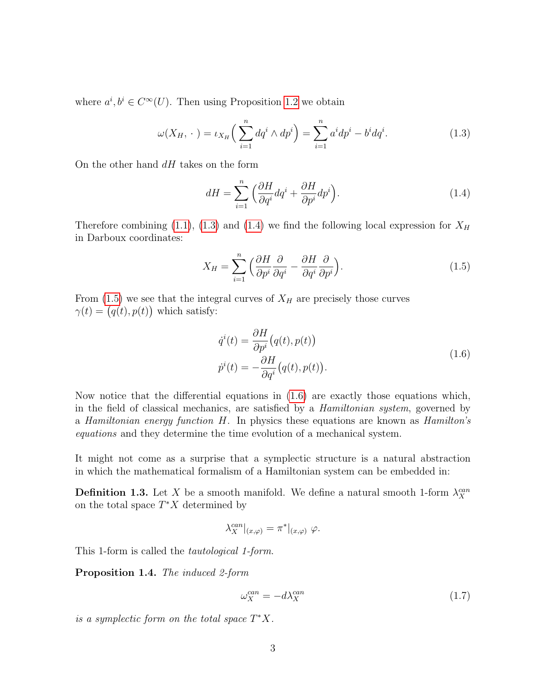where  $a^i, b^i \in C^{\infty}(U)$ . Then using Proposition [1.2](#page-4-3) we obtain

<span id="page-5-0"></span>
$$
\omega(X_H, \cdot) = \iota_{X_H}\left(\sum_{i=1}^n dq^i \wedge dp^i\right) = \sum_{i=1}^n a^i dp^i - b^i dq^i.
$$
 (1.3)

On the other hand  $dH$  takes on the form

<span id="page-5-1"></span>
$$
dH = \sum_{i=1}^{n} \left( \frac{\partial H}{\partial q^i} dq^i + \frac{\partial H}{\partial p^i} dp^i \right).
$$
 (1.4)

Therefore combining [\(1.1\)](#page-4-4), [\(1.3\)](#page-5-0) and [\(1.4\)](#page-5-1) we find the following local expression for  $X_H$ in Darboux coordinates:

<span id="page-5-2"></span>
$$
X_H = \sum_{i=1}^n \left( \frac{\partial H}{\partial p^i} \frac{\partial}{\partial q^i} - \frac{\partial H}{\partial q^i} \frac{\partial}{\partial p^i} \right).
$$
 (1.5)

From  $(1.5)$  we see that the integral curves of  $X_H$  are precisely those curves  $\gamma(t) = (q(t), p(t))$  which satisfy:

<span id="page-5-3"></span>
$$
\dot{q}^i(t) = \frac{\partial H}{\partial p^i} (q(t), p(t))
$$
  
\n
$$
\dot{p}^i(t) = -\frac{\partial H}{\partial q^i} (q(t), p(t)).
$$
\n(1.6)

Now notice that the differential equations in [\(1.6\)](#page-5-3) are exactly those equations which, in the field of classical mechanics, are satisfied by a Hamiltonian system, governed by a Hamiltonian energy function H. In physics these equations are known as Hamilton's equations and they determine the time evolution of a mechanical system.

It might not come as a surprise that a symplectic structure is a natural abstraction in which the mathematical formalism of a Hamiltonian system can be embedded in:

**Definition 1.3.** Let X be a smooth manifold. We define a natural smooth 1-form  $\lambda_X^{can}$ on the total space  $T^*X$  determined by

$$
\lambda_X^{can}|_{(x,\varphi)} = \pi^*|_{(x,\varphi)} \varphi.
$$

This 1-form is called the tautological 1-form.

<span id="page-5-4"></span>Proposition 1.4. The induced 2-form

$$
\omega_X^{can} = -d\lambda_X^{can} \tag{1.7}
$$

is a symplectic form on the total space  $T^*X$ .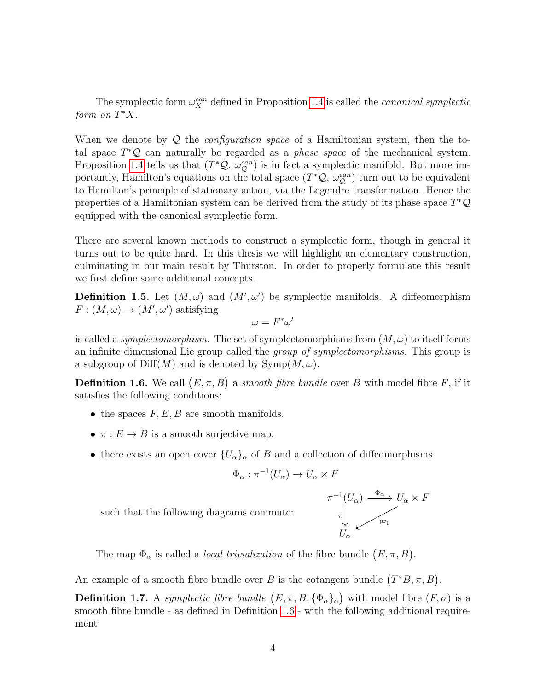The symplectic form  $\omega_X^{can}$  defined in Proposition [1.4](#page-5-4) is called the *canonical symplectic* form on  $T^*X$ .

When we denote by  $\mathcal{Q}$  the *configuration space* of a Hamiltonian system, then the total space  $T^*\mathcal{Q}$  can naturally be regarded as a *phase space* of the mechanical system. Proposition [1.4](#page-5-4) tells us that  $(T^*\mathcal{Q}, \omega_{\mathcal{Q}}^{can})$  is in fact a symplectic manifold. But more importantly, Hamilton's equations on the total space  $(T^*\mathcal{Q}, \omega_{\mathcal{Q}}^{can})$  turn out to be equivalent to Hamilton's principle of stationary action, via the Legendre transformation. Hence the properties of a Hamiltonian system can be derived from the study of its phase space  $T^*\mathcal{Q}$ equipped with the canonical symplectic form.

There are several known methods to construct a symplectic form, though in general it turns out to be quite hard. In this thesis we will highlight an elementary construction, culminating in our main result by Thurston. In order to properly formulate this result we first define some additional concepts.

**Definition 1.5.** Let  $(M, \omega)$  and  $(M', \omega')$  be symplectic manifolds. A diffeomorphism  $F: (M, \omega) \to (M', \omega')$  satisfying

$$
\omega = F^*\omega'
$$

is called a *symplectomorphism*. The set of symplectomorphisms from  $(M, \omega)$  to itself forms an infinite dimensional Lie group called the group of symplectomorphisms. This group is a subgroup of  $\text{Diff}(M)$  and is denoted by  $\text{Symp}(M,\omega)$ .

<span id="page-6-0"></span>**Definition 1.6.** We call  $(E, \pi, B)$  a *smooth fibre bundle* over B with model fibre F, if it satisfies the following conditions:

- the spaces  $F, E, B$  are smooth manifolds.
- $\pi : E \to B$  is a smooth surjective map.
- there exists an open cover  ${U_\alpha}_\alpha$  of B and a collection of diffeomorphisms

$$
\Phi_{\alpha} : \pi^{-1}(U_{\alpha}) \to U_{\alpha} \times F
$$

such that the following diagrams commute:



The map  $\Phi_{\alpha}$  is called a *local trivialization* of the fibre bundle  $(E, \pi, B)$ .

An example of a smooth fibre bundle over B is the cotangent bundle  $(T^*B, \pi, B)$ .

**Definition 1.7.** A symplectic fibre bundle  $(E, \pi, B, {\Phi_\alpha}_\alpha)$  with model fibre  $(F, \sigma)$  is a smooth fibre bundle - as defined in Definition [1.6](#page-6-0) - with the following additional requirement: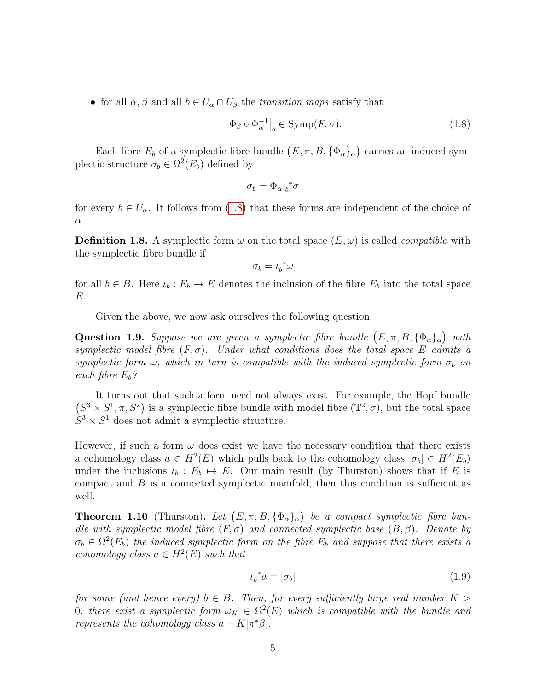• for all  $\alpha, \beta$  and all  $b \in U_\alpha \cap U_\beta$  the transition maps satisfy that

<span id="page-7-0"></span>
$$
\Phi_{\beta} \circ \Phi_{\alpha}^{-1} \big|_{b} \in \text{Symp}(F, \sigma). \tag{1.8}
$$

Each fibre  $E_b$  of a symplectic fibre bundle  $(E, \pi, B, {\{\Phi_\alpha\}}_\alpha)$  carries an induced symplectic structure  $\sigma_b \in \Omega^2(E_b)$  defined by

$$
\sigma_b=\Phi_\alpha|_b{}^*\sigma
$$

for every  $b \in U_{\alpha}$ . It follows from [\(1.8\)](#page-7-0) that these forms are independent of the choice of α.

**Definition 1.8.** A symplectic form  $\omega$  on the total space  $(E, \omega)$  is called *compatible* with the symplectic fibre bundle if

$$
\sigma_b={\iota_b}^*\omega
$$

for all  $b \in B$ . Here  $\iota_b : E_b \to E$  denotes the inclusion of the fibre  $E_b$  into the total space E.

Given the above, we now ask ourselves the following question:

**Question 1.9.** Suppose we are given a symplectic fibre bundle  $(E, \pi, B, {\Phi_\alpha}_\alpha)$  with symplectic model fibre  $(F, \sigma)$ . Under what conditions does the total space E admits a symplectic form  $\omega$ , which in turn is compatible with the induced symplectic form  $\sigma_b$  on each fibre  $E_h$ ?

It turns out that such a form need not always exist. For example, the Hopf bundle  $(S^3 \times S^1, \pi, S^2)$  is a symplectic fibre bundle with model fibre  $(\mathbb{T}^2, \sigma)$ , but the total space  $S^3 \times S^1$  does not admit a symplectic structure.

However, if such a form  $\omega$  does exist we have the necessary condition that there exists a cohomology class  $a \in H^2(E)$  which pulls back to the cohomology class  $[\sigma_b] \in H^2(E_b)$ under the inclusions  $\iota_b : E_b \mapsto E$ . Our main result (by Thurston) shows that if E is compact and  $B$  is a connected symplectic manifold, then this condition is sufficient as well.

<span id="page-7-1"></span>**Theorem 1.10** (Thurston). Let  $(E, \pi, B, {\Phi_{\alpha}}_{\alpha})$  be a compact symplectic fibre bundle with symplectic model fibre  $(F, \sigma)$  and connected symplectic base  $(B, \beta)$ . Denote by  $\sigma_b \in \Omega^2(E_b)$  the induced symplectic form on the fibre  $E_b$  and suppose that there exists a cohomology class  $a \in H^2(E)$  such that

$$
\iota_b^* a = [\sigma_b] \tag{1.9}
$$

for some (and hence every)  $b \in B$ . Then, for every sufficiently large real number  $K >$ 0, there exist a symplectic form  $\omega_K \in \Omega^2(E)$  which is compatible with the bundle and represents the cohomology class  $a + K[\pi^*\beta]$ .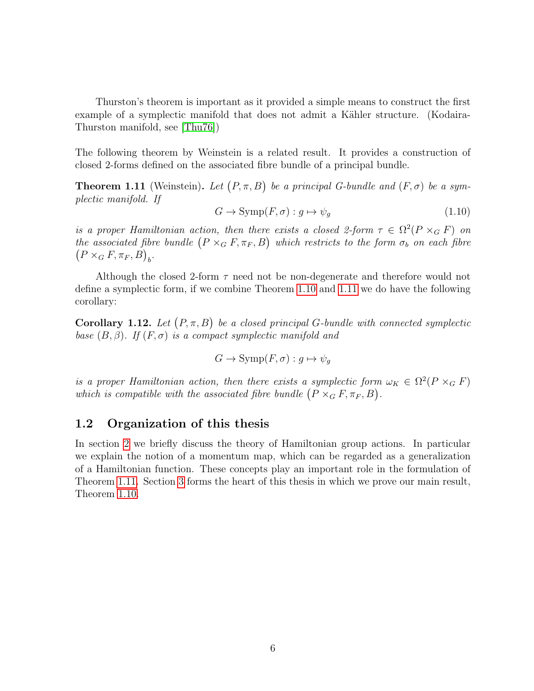Thurston's theorem is important as it provided a simple means to construct the first example of a symplectic manifold that does not admit a Kähler structure. (Kodaira-Thurston manifold, see [\[Thu76\]](#page-30-0))

The following theorem by Weinstein is a related result. It provides a construction of closed 2-forms defined on the associated fibre bundle of a principal bundle.

<span id="page-8-1"></span>**Theorem 1.11** (Weinstein). Let  $(P, \pi, B)$  be a principal G-bundle and  $(F, \sigma)$  be a symplectic manifold. If

 $G \to \text{Symp}(F, \sigma) : q \mapsto \psi_{\sigma}$  (1.10)

is a proper Hamiltonian action, then there exists a closed 2-form  $\tau \in \Omega^2(P \times_G F)$  on the associated fibre bundle  $(P \times_G F, \pi_F, B)$  which restricts to the form  $\sigma_b$  on each fibre  $(P \times_G F, \pi_F, B)_b.$ 

Although the closed 2-form  $\tau$  need not be non-degenerate and therefore would not define a symplectic form, if we combine Theorem [1.10](#page-7-1) and [1.11](#page-8-1) we do have the following corollary:

**Corollary 1.12.** Let  $(P, \pi, B)$  be a closed principal G-bundle with connected symplectic base  $(B, \beta)$ . If  $(F, \sigma)$  is a compact symplectic manifold and

$$
G \to \text{Symp}(F, \sigma) : g \mapsto \psi_g
$$

is a proper Hamiltonian action, then there exists a symplectic form  $\omega_K \in \Omega^2(P \times_G F)$ which is compatible with the associated fibre bundle  $(P \times_G F, \pi_F, B)$ .

#### <span id="page-8-0"></span>1.2 Organization of this thesis

In section [2](#page-9-0) we briefly discuss the theory of Hamiltonian group actions. In particular we explain the notion of a momentum map, which can be regarded as a generalization of a Hamiltonian function. These concepts play an important role in the formulation of Theorem [1.11.](#page-8-1) Section [3](#page-21-0) forms the heart of this thesis in which we prove our main result, Theorem [1.10.](#page-7-1)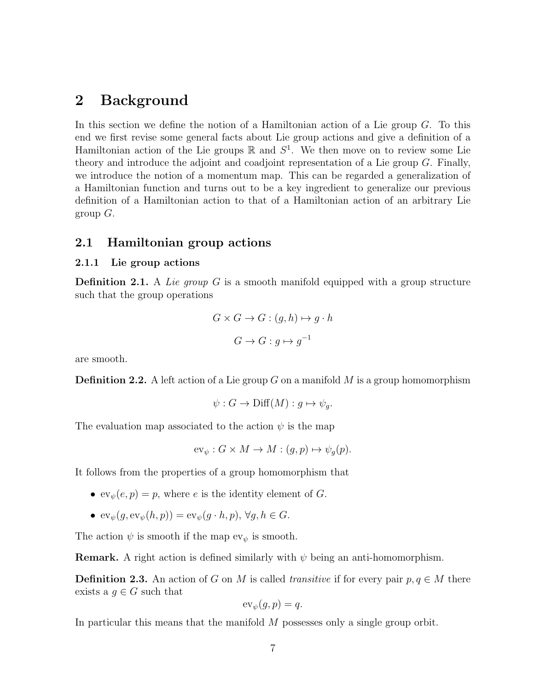## <span id="page-9-0"></span>2 Background

In this section we define the notion of a Hamiltonian action of a Lie group  $G$ . To this end we first revise some general facts about Lie group actions and give a definition of a Hamiltonian action of the Lie groups  $\mathbb R$  and  $S^1$ . We then move on to review some Lie theory and introduce the adjoint and coadjoint representation of a Lie group  $G$ . Finally, we introduce the notion of a momentum map. This can be regarded a generalization of a Hamiltonian function and turns out to be a key ingredient to generalize our previous definition of a Hamiltonian action to that of a Hamiltonian action of an arbitrary Lie group  $G$ .

#### <span id="page-9-1"></span>2.1 Hamiltonian group actions

#### <span id="page-9-2"></span>2.1.1 Lie group actions

**Definition 2.1.** A Lie group G is a smooth manifold equipped with a group structure such that the group operations

$$
G \times G \to G : (g, h) \mapsto g \cdot h
$$

$$
G \to G : g \mapsto g^{-1}
$$

are smooth.

**Definition 2.2.** A left action of a Lie group G on a manifold M is a group homomorphism

$$
\psi: G \to \text{Diff}(M): g \mapsto \psi_g.
$$

The evaluation map associated to the action  $\psi$  is the map

$$
ev_{\psi}: G \times M \to M : (g, p) \mapsto \psi_g(p).
$$

It follows from the properties of a group homomorphism that

- $ev_{\psi}(e, p) = p$ , where *e* is the identity element of *G*.
- $ev_{\psi}(q, ev_{\psi}(h, p)) = ev_{\psi}(q \cdot h, p), \forall q, h \in G.$

The action  $\psi$  is smooth if the map  $ev_{\psi}$  is smooth.

**Remark.** A right action is defined similarly with  $\psi$  being an anti-homomorphism.

**Definition 2.3.** An action of G on M is called transitive if for every pair  $p, q \in M$  there exists a  $g \in G$  such that

$$
\mathrm{ev}_{\psi}(g,p) = q.
$$

In particular this means that the manifold M possesses only a single group orbit.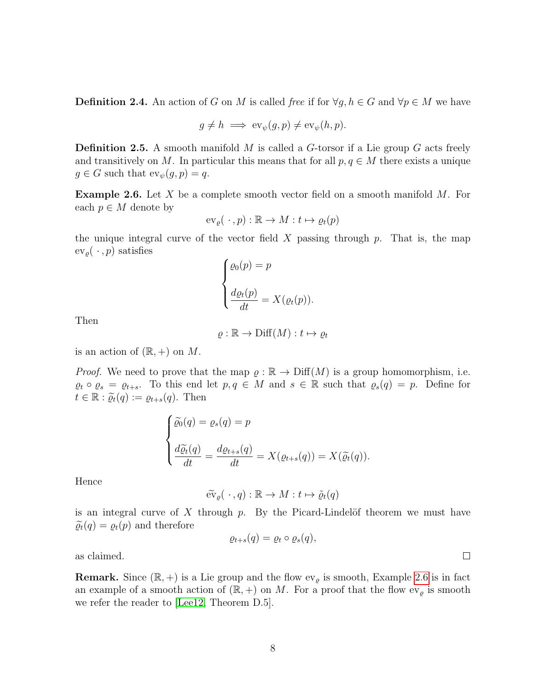**Definition 2.4.** An action of G on M is called free if for  $\forall g, h \in G$  and  $\forall p \in M$  we have

$$
g \neq h \implies \text{ev}_{\psi}(g, p) \neq \text{ev}_{\psi}(h, p).
$$

**Definition 2.5.** A smooth manifold  $M$  is called a  $G$ -torsor if a Lie group  $G$  acts freely and transitively on M. In particular this means that for all  $p, q \in M$  there exists a unique  $g \in G$  such that  $ev_{\psi}(g, p) = q$ .

<span id="page-10-0"></span>**Example 2.6.** Let  $X$  be a complete smooth vector field on a smooth manifold  $M$ . For each  $p \in M$  denote by

$$
\mathrm{ev}_{\varrho}(\,\cdot\,,p): \mathbb{R} \to M: t \mapsto \varrho_t(p)
$$

the unique integral curve of the vector field  $X$  passing through  $p$ . That is, the map  $ev_{\varrho}(\,\cdot\,,p)$  satisfies

$$
\begin{cases}\n\varrho_0(p) = p \\
\frac{d\varrho_t(p)}{dt} = X(\varrho_t(p)).\n\end{cases}
$$

Then

$$
\varrho : \mathbb{R} \to \text{Diff}(M) : t \mapsto \varrho_t
$$

is an action of  $(\mathbb{R}, +)$  on M.

*Proof.* We need to prove that the map  $\rho : \mathbb{R} \to \text{Diff}(M)$  is a group homomorphism, i.e.  $\varrho_t \circ \varrho_s = \varrho_{t+s}$ . To this end let  $p, q \in M$  and  $s \in \mathbb{R}$  such that  $\varrho_s(q) = p$ . Define for  $t \in \mathbb{R} : \widetilde{\varrho}_t(q) := \varrho_{t+s}(q)$ . Then

$$
\begin{cases}\n\widetilde{\varrho}_0(q) = \varrho_s(q) = p \\
\frac{d\widetilde{\varrho}_t(q)}{dt} = \frac{d\varrho_{t+s}(q)}{dt} = X(\varrho_{t+s}(q)) = X(\widetilde{\varrho}_t(q)).\n\end{cases}
$$

Hence

 $\widetilde{\text{ev}}_o(\cdot, q): \mathbb{R} \to M : t \mapsto \widetilde{\rho}_t(q)$ 

is an integral curve of X through p. By the Picard-Lindelöf theorem we must have  $\widetilde{\varrho}_t(q) = \varrho_t(p)$  and therefore

$$
\varrho_{t+s}(q) = \varrho_t \circ \varrho_s(q),
$$

as claimed.

**Remark.** Since  $(\mathbb{R}, +)$  is a Lie group and the flow  $ev_{\varrho}$  is smooth, Example [2.6](#page-10-0) is in fact an example of a smooth action of  $(\mathbb{R}, +)$  on M. For a proof that the flow ev<sub>e</sub> is smooth we refer the reader to [\[Lee12,](#page-30-1) Theorem D.5].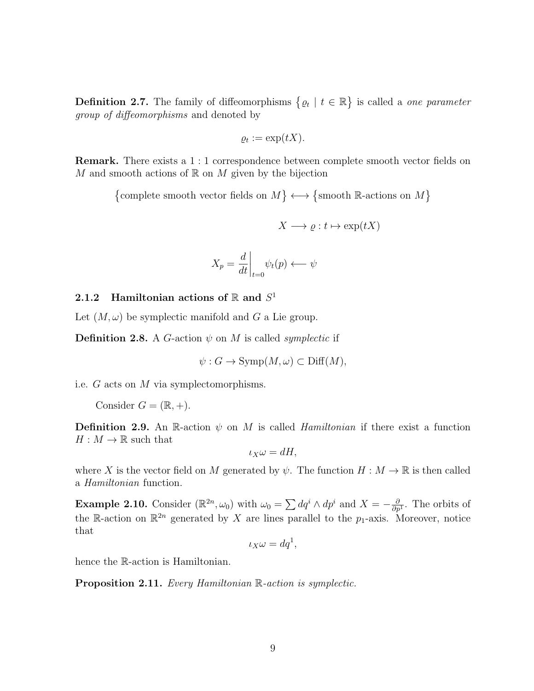**Definition 2.7.** The family of diffeomorphisms  $\{ \varrho_t \mid t \in \mathbb{R} \}$  is called a *one parameter* group of diffeomorphisms and denoted by

$$
\varrho_t := \exp(tX).
$$

Remark. There exists a 1 : 1 correspondence between complete smooth vector fields on M and smooth actions of  $\mathbb R$  on M given by the bijection

{complete smooth vector fields on  $M$ }  $\longleftrightarrow$  {smooth R-actions on  $M$ }

$$
X \longrightarrow \varrho : t \mapsto \exp(tX)
$$

$$
X_p = \frac{d}{dt}\bigg|_{t=0} \psi_t(p) \longleftarrow \psi
$$

### <span id="page-11-0"></span>2.1.2 Hamiltonian actions of  $\mathbb R$  and  $S^1$

Let  $(M, \omega)$  be symplectic manifold and G a Lie group.

**Definition 2.8.** A G-action  $\psi$  on M is called *symplectic* if

$$
\psi: G \to \text{Symp}(M, \omega) \subset \text{Diff}(M),
$$

i.e. G acts on M via symplectomorphisms.

Consider  $G = (\mathbb{R}, +).$ 

**Definition 2.9.** An R-action  $\psi$  on M is called *Hamiltonian* if there exist a function  $H : M \to \mathbb{R}$  such that

$$
\iota_X \omega = dH,
$$

where X is the vector field on M generated by  $\psi$ . The function  $H : M \to \mathbb{R}$  is then called a Hamiltonian function.

**Example 2.10.** Consider  $(\mathbb{R}^{2n}, \omega_0)$  with  $\omega_0 = \sum dq^i \wedge dp^i$  and  $X = -\frac{\partial}{\partial n}$  $\frac{\partial}{\partial p^1}$ . The orbits of the R-action on  $\mathbb{R}^{2n}$  generated by X are lines parallel to the  $p_1$ -axis. Moreover, notice that

$$
\iota_X \omega = dq^1,
$$

hence the R-action is Hamiltonian.

<span id="page-11-1"></span>Proposition 2.11. Every Hamiltonian R-action is symplectic.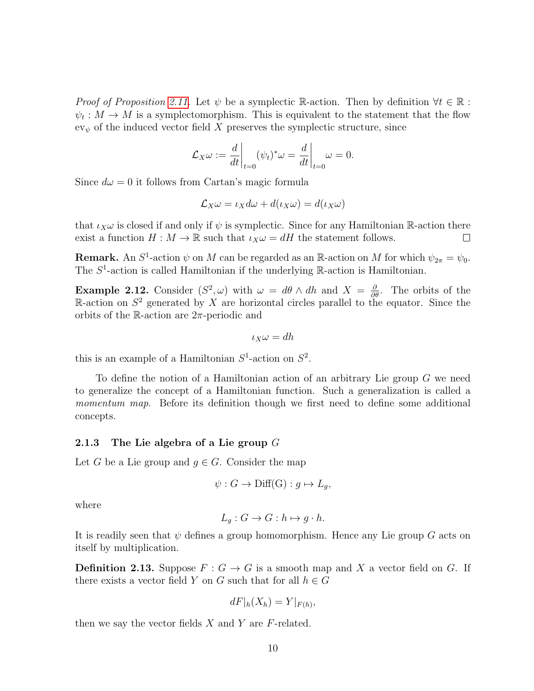*Proof of Proposition [2.11.](#page-11-1)* Let  $\psi$  be a symplectic R-action. Then by definition  $\forall t \in \mathbb{R}$ :  $\psi_t: M \to M$  is a symplectomorphism. This is equivalent to the statement that the flow  $ev_{\psi}$  of the induced vector field X preserves the symplectic structure, since

$$
\mathcal{L}_X \omega := \frac{d}{dt} \bigg|_{t=0} (\psi_t)^* \omega = \frac{d}{dt} \bigg|_{t=0} \omega = 0.
$$

Since  $d\omega = 0$  it follows from Cartan's magic formula

$$
\mathcal{L}_X \omega = \iota_X d\omega + d(\iota_X \omega) = d(\iota_X \omega)
$$

that  $\iota_X \omega$  is closed if and only if  $\psi$  is symplectic. Since for any Hamiltonian R-action there exist a function  $H : M \to \mathbb{R}$  such that  $\iota_X \omega = dH$  the statement follows.  $\Box$ 

**Remark.** An  $S^1$ -action  $\psi$  on M can be regarded as an R-action on M for which  $\psi_{2\pi} = \psi_0$ . The  $S^1$ -action is called Hamiltonian if the underlying  $\mathbb R$ -action is Hamiltonian.

**Example 2.12.** Consider  $(S^2, \omega)$  with  $\omega = d\theta \wedge dh$  and  $X = \frac{\partial}{\partial \theta}$ . The orbits of the R-action on  $S^2$  generated by X are horizontal circles parallel to the equator. Since the orbits of the R-action are  $2\pi$ -periodic and

$$
\iota_X \omega = dh
$$

this is an example of a Hamiltonian  $S^1$ -action on  $S^2$ .

To define the notion of a Hamiltonian action of an arbitrary Lie group G we need to generalize the concept of a Hamiltonian function. Such a generalization is called a momentum map. Before its definition though we first need to define some additional concepts.

#### <span id="page-12-0"></span>2.1.3 The Lie algebra of a Lie group  $G$

Let G be a Lie group and  $g \in G$ . Consider the map

$$
\psi: G \to \text{Diff}(G): g \mapsto L_g,
$$

where

$$
L_g: G \to G: h \mapsto g \cdot h.
$$

It is readily seen that  $\psi$  defines a group homomorphism. Hence any Lie group G acts on itself by multiplication.

**Definition 2.13.** Suppose  $F: G \to G$  is a smooth map and X a vector field on G. If there exists a vector field Y on G such that for all  $h \in G$ 

$$
dF|_h(X_h) = Y|_{F(h)},
$$

then we say the vector fields  $X$  and  $Y$  are  $F$ -related.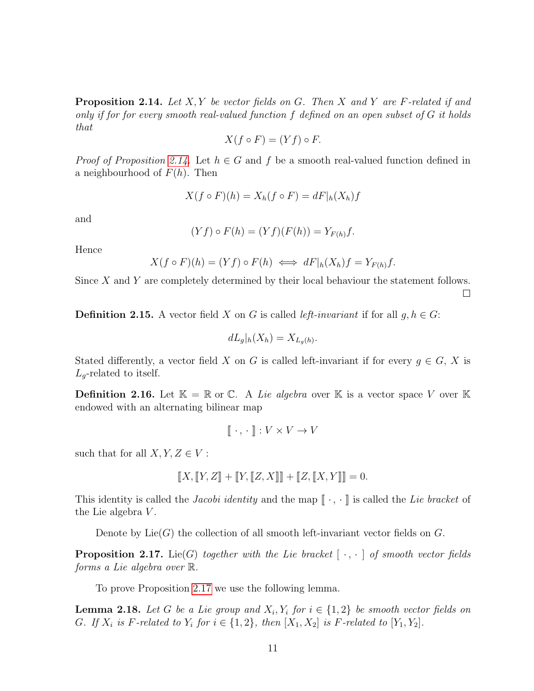<span id="page-13-0"></span>**Proposition 2.14.** Let  $X, Y$  be vector fields on G. Then X and Y are F-related if and only if for for every smooth real-valued function f defined on an open subset of G it holds that

$$
X(f \circ F) = (Yf) \circ F.
$$

*Proof of Proposition [2.14.](#page-13-0)* Let  $h \in G$  and f be a smooth real-valued function defined in a neighbourhood of  $F(h)$ . Then

$$
X(f \circ F)(h) = X_h(f \circ F) = dF|_h(X_h)f
$$

and

$$
(Yf) \circ F(h) = (Yf)(F(h)) = Y_{F(h)}f.
$$

Hence

$$
X(f \circ F)(h) = (Yf) \circ F(h) \iff dF|_h(X_h)f = Y_{F(h)}f.
$$

Since  $X$  and  $Y$  are completely determined by their local behaviour the statement follows.  $\Box$ 

<span id="page-13-3"></span>**Definition 2.15.** A vector field X on G is called *left-invariant* if for all  $q, h \in G$ :

$$
dL_g|_h(X_h) = X_{L_g(h)}.
$$

Stated differently, a vector field X on G is called left-invariant if for every  $q \in G$ , X is  $L_q$ -related to itself.

**Definition 2.16.** Let  $\mathbb{K} = \mathbb{R}$  or  $\mathbb{C}$ . A Lie algebra over  $\mathbb{K}$  is a vector space V over  $\mathbb{K}$ endowed with an alternating bilinear map

$$
[\![\cdot,\cdot\,]\!]:V\times V\to V
$$

such that for all  $X, Y, Z \in V$ :

$$
[[X, [Y, Z]] + [[Y, [Z, X]]] + [[Z, [X, Y]]] = 0.
$$

This identity is called the *Jacobi identity* and the map  $[\![ \cdot, \cdot ]\!]$  is called the Lie bracket of the Lie algebra V .

Denote by  $Lie(G)$  the collection of all smooth left-invariant vector fields on G.

<span id="page-13-1"></span>**Proposition 2.17.** Lie(G) together with the Lie bracket  $[\cdot, \cdot]$  of smooth vector fields forms a Lie algebra over R.

To prove Proposition [2.17](#page-13-1) we use the following lemma.

<span id="page-13-2"></span>**Lemma 2.18.** Let G be a Lie group and  $X_i, Y_i$  for  $i \in \{1,2\}$  be smooth vector fields on G. If  $X_i$  is F-related to  $Y_i$  for  $i \in \{1,2\}$ , then  $[X_1, X_2]$  is F-related to  $[Y_1, Y_2]$ .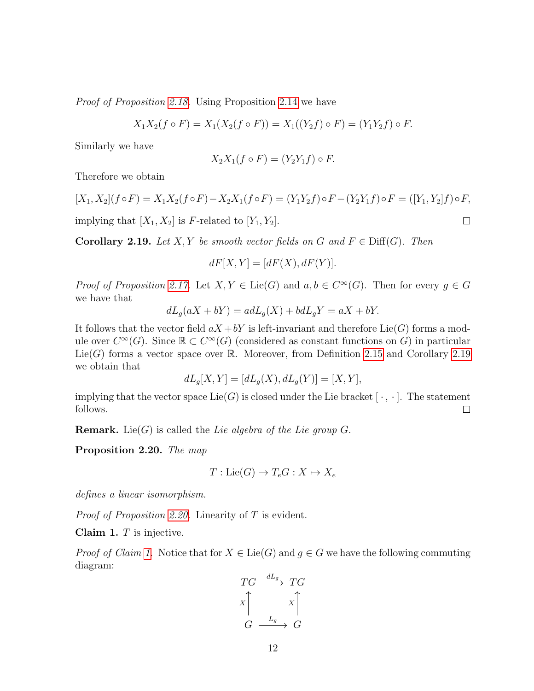Proof of Proposition [2.18.](#page-13-2) Using Proposition [2.14](#page-13-0) we have

$$
X_1X_2(f \circ F) = X_1(X_2(f \circ F)) = X_1((Y_2f) \circ F) = (Y_1Y_2f) \circ F.
$$

Similarly we have

$$
X_2X_1(f \circ F) = (Y_2Y_1f) \circ F.
$$

Therefore we obtain

$$
[X_1, X_2](f \circ F) = X_1 X_2 (f \circ F) - X_2 X_1 (f \circ F) = (Y_1 Y_2 f) \circ F - (Y_2 Y_1 f) \circ F = ([Y_1, Y_2] f) \circ F,
$$
  
implying that  $[X_1, X_2]$  is F-related to  $[Y_1, Y_2]$ .

<span id="page-14-0"></span>**Corollary 2.19.** Let X, Y be smooth vector fields on G and  $F \in \text{Diff}(G)$ . Then

$$
dF[X, Y] = [dF(X), dF(Y)].
$$

*Proof of Proposition [2.17.](#page-13-1)* Let  $X, Y \in \text{Lie}(G)$  and  $a, b \in C^{\infty}(G)$ . Then for every  $g \in G$ we have that

$$
dL_g(aX + bY) = adL_g(X) + bdL_gY = aX + bY.
$$

It follows that the vector field  $aX + bY$  is left-invariant and therefore Lie(G) forms a module over  $C^{\infty}(G)$ . Since  $\mathbb{R} \subset C^{\infty}(G)$  (considered as constant functions on G) in particular Lie(G) forms a vector space over R. Moreover, from Definition [2.15](#page-13-3) and Corollary [2.19](#page-14-0) we obtain that

$$
dL_g[X, Y] = [dL_g(X), dL_g(Y)] = [X, Y],
$$

implying that the vector space  $Lie(G)$  is closed under the Lie bracket  $[\cdot, \cdot]$ . The statement follows.  $\Box$ 

**Remark.** Lie(G) is called the Lie algebra of the Lie group  $G$ .

<span id="page-14-1"></span>Proposition 2.20. The map

$$
T: \text{Lie}(G) \to T_eG: X \mapsto X_e
$$

defines a linear isomorphism.

*Proof of Proposition [2.20.](#page-14-1)* Linearity of  $T$  is evident.

<span id="page-14-2"></span>Claim 1.  $T$  is injective.

*Proof of Claim [1.](#page-14-2)* Notice that for  $X \in \text{Lie}(G)$  and  $g \in G$  we have the following commuting diagram:

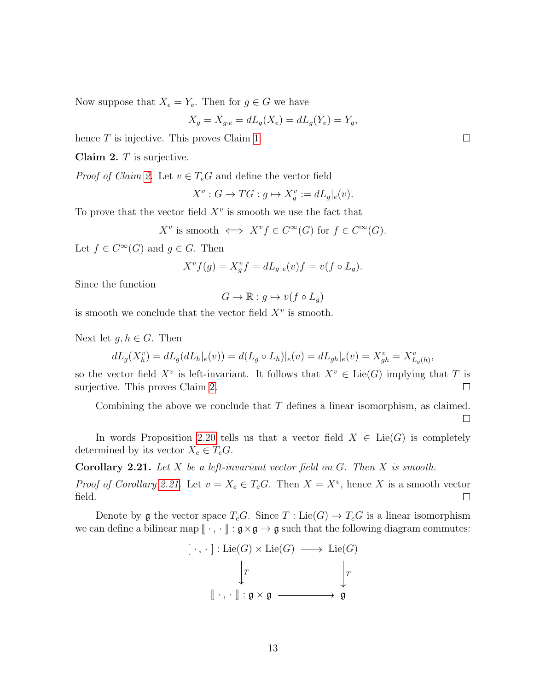Now suppose that  $X_e = Y_e$ . Then for  $g \in G$  we have

$$
X_g = X_{g \cdot e} = dL_g(X_e) = dL_g(Y_e) = Y_g,
$$

hence  $T$  is injective. This proves Claim [1.](#page-14-2)

<span id="page-15-0"></span>Claim 2.  $T$  is surjective.

*Proof of Claim [2.](#page-15-0)* Let  $v \in T_eG$  and define the vector field

$$
X^v: G \to TG: g \mapsto X_g^v := dL_g|_e(v).
$$

To prove that the vector field  $X^v$  is smooth we use the fact that

$$
X^v
$$
 is smooth  $\iff X^v f \in C^{\infty}(G)$  for  $f \in C^{\infty}(G)$ .

Let  $f \in C^{\infty}(G)$  and  $g \in G$ . Then

$$
X^v f(g) = X_g^v f = dL_g|_e(v) f = v(f \circ L_g).
$$

Since the function

$$
G \to \mathbb{R} : g \mapsto v(f \circ L_g)
$$

is smooth we conclude that the vector field  $X^v$  is smooth.

Next let  $g, h \in G$ . Then

$$
dL_g(X_h^v) = dL_g(dL_h|_e(v)) = d(L_g \circ L_h)|_e(v) = dL_{gh}|_e(v) = X_{gh}^v = X_{L_g(h)}^v,
$$

so the vector field  $X^v$  is left-invariant. It follows that  $X^v \in \text{Lie}(G)$  implying that T is surjective. This proves Claim [2.](#page-15-0)  $\Box$ 

Combining the above we conclude that T defines a linear isomorphism, as claimed.

In words Proposition [2.20](#page-14-1) tells us that a vector field  $X \in \text{Lie}(G)$  is completely determined by its vector  $X_e \in T_eG$ .

<span id="page-15-1"></span>**Corollary 2.21.** Let  $X$  be a left-invariant vector field on  $G$ . Then  $X$  is smooth.

*Proof of Corollary [2.21.](#page-15-1)* Let  $v = X_e \in T_eG$ . Then  $X = X^v$ , hence X is a smooth vector field.  $\Box$ 

Denote by g the vector space  $T_eG$ . Since  $T : Lie(G) \to T_eG$  is a linear isomorphism we can define a bilinear map  $[\![\cdot,\cdot]\!] : \mathfrak{g} \times \mathfrak{g} \to \mathfrak{g}$  such that the following diagram commutes:

$$
[\cdot, \cdot] : \text{Lie}(G) \times \text{Lie}(G) \longrightarrow \text{Lie}(G)
$$

$$
\downarrow T
$$

$$
[\![\cdot, \cdot]\!] : \mathfrak{g} \times \mathfrak{g} \longrightarrow \mathfrak{g}
$$

 $\Box$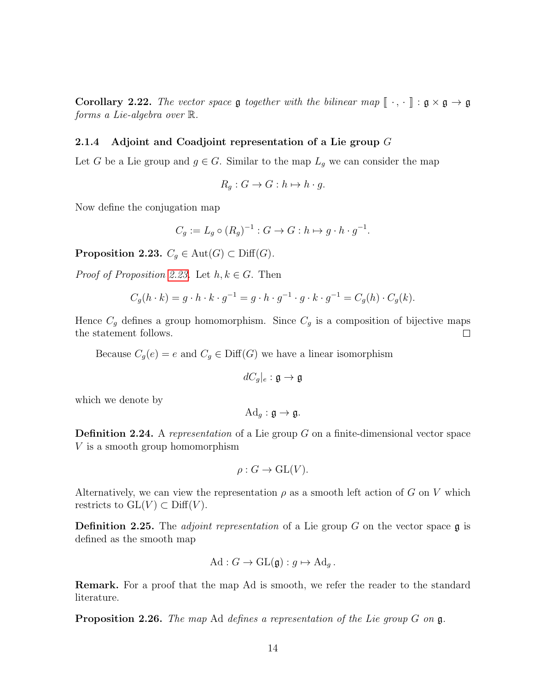**Corollary 2.22.** The vector space  $\mathfrak g$  together with the bilinear map  $[\cdot, \cdot] : \mathfrak g \times \mathfrak g \to \mathfrak g$ forms a Lie-algebra over R.

#### <span id="page-16-0"></span>2.1.4 Adjoint and Coadjoint representation of a Lie group G

Let G be a Lie group and  $g \in G$ . Similar to the map  $L_q$  we can consider the map

$$
R_g: G \to G: h \mapsto h \cdot g.
$$

Now define the conjugation map

$$
C_g := L_g \circ (R_g)^{-1} : G \to G : h \mapsto g \cdot h \cdot g^{-1}.
$$

<span id="page-16-1"></span>**Proposition 2.23.**  $C_g \in \text{Aut}(G) \subset \text{Diff}(G)$ .

*Proof of Proposition [2.23.](#page-16-1)* Let  $h, k \in G$ . Then

$$
C_g(h \cdot k) = g \cdot h \cdot k \cdot g^{-1} = g \cdot h \cdot g^{-1} \cdot g \cdot k \cdot g^{-1} = C_g(h) \cdot C_g(k).
$$

Hence  $C_g$  defines a group homomorphism. Since  $C_g$  is a composition of bijective maps the statement follows.  $\Box$ 

Because  $C_g(e) = e$  and  $C_g \in \text{Diff}(G)$  we have a linear isomorphism

$$
dC_g|_e : \mathfrak{g} \to \mathfrak{g}
$$

which we denote by

 $\mathrm{Ad}_q : \mathfrak{g} \to \mathfrak{g}.$ 

**Definition 2.24.** A representation of a Lie group  $G$  on a finite-dimensional vector space V is a smooth group homomorphism

$$
\rho: G \to \operatorname{GL}(V).
$$

Alternatively, we can view the representation  $\rho$  as a smooth left action of G on V which restricts to  $GL(V) \subset Diff(V)$ .

**Definition 2.25.** The *adjoint representation* of a Lie group G on the vector space  $\mathfrak{g}$  is defined as the smooth map

$$
\mathrm{Ad}: G \to \mathrm{GL}(\mathfrak{g}): g \mapsto \mathrm{Ad}_g.
$$

Remark. For a proof that the map Ad is smooth, we refer the reader to the standard literature.

<span id="page-16-2"></span>**Proposition 2.26.** The map Ad defines a representation of the Lie group G on  $\mathfrak{g}$ .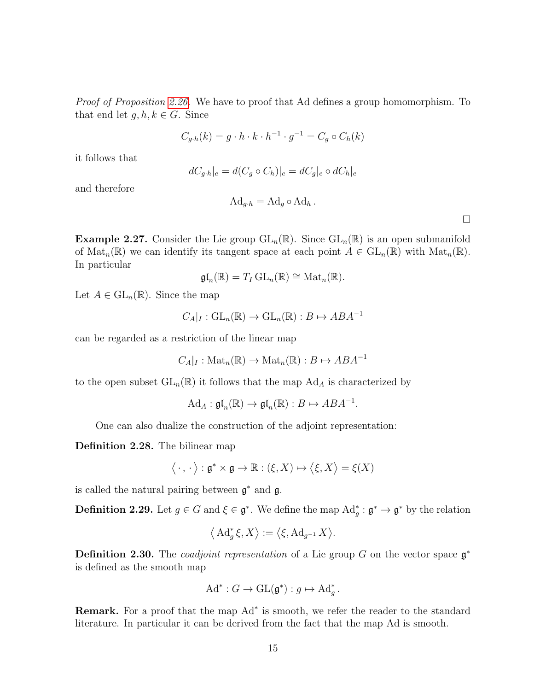Proof of Proposition [2.26.](#page-16-2) We have to proof that Ad defines a group homomorphism. To that end let  $g, h, k \in G$ . Since

$$
C_{g\cdot h}(k) = g \cdot h \cdot k \cdot h^{-1} \cdot g^{-1} = C_g \circ C_h(k)
$$

it follows that

$$
dC_{g\cdot h}|_e = d(C_g \circ C_h)|_e = dC_g|_e \circ dC_h|_e
$$

and therefore

$$
Ad_{g\cdot h} = Ad_g \circ Ad_h.
$$

 $\Box$ 

**Example 2.27.** Consider the Lie group  $GL_n(\mathbb{R})$ . Since  $GL_n(\mathbb{R})$  is an open submanifold of  $\text{Mat}_n(\mathbb{R})$  we can identify its tangent space at each point  $A \in \text{GL}_n(\mathbb{R})$  with  $\text{Mat}_n(\mathbb{R})$ . In particular

$$
\mathfrak{gl}_n(\mathbb{R}) = T_I \operatorname{GL}_n(\mathbb{R}) \cong \operatorname{Mat}_n(\mathbb{R}).
$$

Let  $A \in GL_n(\mathbb{R})$ . Since the map

$$
C_A|_I: GL_n(\mathbb{R}) \to GL_n(\mathbb{R}): B \mapsto ABA^{-1}
$$

can be regarded as a restriction of the linear map

$$
C_A|_I: \operatorname{Mat}_n(\mathbb{R}) \to \operatorname{Mat}_n(\mathbb{R}): B \mapsto ABA^{-1}
$$

to the open subset  $GL_n(\mathbb{R})$  it follows that the map  $Ad_A$  is characterized by

$$
Ad_A: \mathfrak{gl}_n(\mathbb{R}) \to \mathfrak{gl}_n(\mathbb{R}): B \mapsto ABA^{-1}.
$$

One can also dualize the construction of the adjoint representation:

Definition 2.28. The bilinear map

$$
\langle\,\cdot\,,\,\cdot\,\rangle:\mathfrak{g}^*\times\mathfrak{g}\to\mathbb{R}:(\xi,X)\mapsto\big\langle\xi,X\big\rangle=\xi(X)
$$

is called the natural pairing between  $\mathfrak{g}^*$  and  $\mathfrak{g}$ .

**Definition 2.29.** Let  $g \in G$  and  $\xi \in \mathfrak{g}^*$ . We define the map  $\mathrm{Ad}^*_g : \mathfrak{g}^* \to \mathfrak{g}^*$  by the relation

$$
\big\langle \operatorname{Ad}^*_g \xi, X \big\rangle := \big\langle \xi, \operatorname{Ad}_{g^{-1}}X \big\rangle.
$$

**Definition 2.30.** The *coadjoint representation* of a Lie group G on the vector space  $\mathfrak{g}^*$ is defined as the smooth map

$$
\mathrm{Ad}^* : G \to \mathrm{GL}(\mathfrak{g}^*) : g \mapsto \mathrm{Ad}^*_g.
$$

Remark. For a proof that the map Ad<sup>\*</sup> is smooth, we refer the reader to the standard literature. In particular it can be derived from the fact that the map Ad is smooth.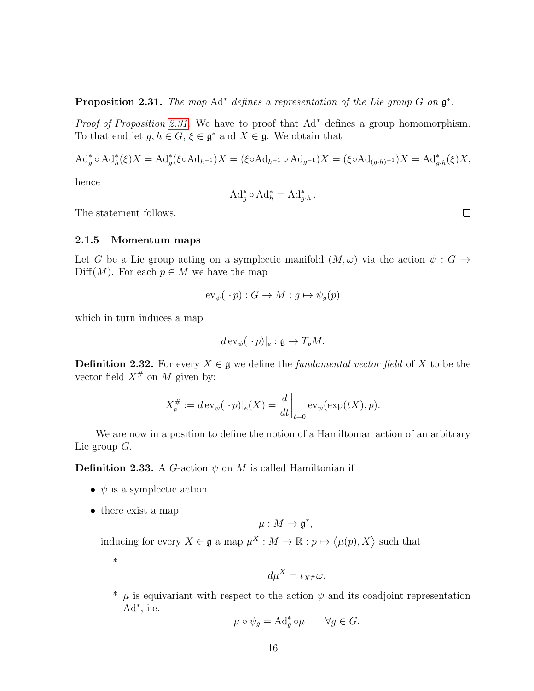<span id="page-18-1"></span>**Proposition 2.31.** The map  $Ad^*$  defines a representation of the Lie group G on  $\mathfrak{g}^*$ .

Proof of Proposition [2.31.](#page-18-1) We have to proof that Ad<sup>\*</sup> defines a group homomorphism. To that end let  $g, h \in G$ ,  $\xi \in \mathfrak{g}^*$  and  $X \in \mathfrak{g}$ . We obtain that

$$
Ad_g^* \circ Ad_h^*(\xi)X = Ad_g^*(\xi \circ Ad_{h^{-1}})X = (\xi \circ Ad_{h^{-1}} \circ Ad_{g^{-1}})X = (\xi \circ Ad_{(g \cdot h)^{-1}})X = Ad_{g \cdot h}^*(\xi)X,
$$

hence

$$
\mathrm{Ad}_g^* \circ \mathrm{Ad}_h^* = \mathrm{Ad}_{g \cdot h}^*.
$$

The statement follows.

<span id="page-18-0"></span>2.1.5 Momentum maps

Let G be a Lie group acting on a symplectic manifold  $(M, \omega)$  via the action  $\psi : G \to$  $\text{Diff}(M)$ . For each  $p \in M$  we have the map

$$
\mathrm{ev}_{\psi}(\cdot p): G \to M : g \mapsto \psi_g(p)
$$

which in turn induces a map

$$
d \operatorname{ev}_{\psi}(\cdot p)|_e : \mathfrak{g} \to T_p M.
$$

**Definition 2.32.** For every  $X \in \mathfrak{g}$  we define the *fundamental vector field* of X to be the vector field  $X^{\#}$  on M given by:

$$
X_p^{\#} := d \operatorname{ev}_{\psi}(\cdot p)|_e(X) = \frac{d}{dt}\bigg|_{t=0} \operatorname{ev}_{\psi}(\exp(tX), p).
$$

We are now in a position to define the notion of a Hamiltonian action of an arbitrary Lie group G.

**Definition 2.33.** A G-action  $\psi$  on M is called Hamiltonian if

- $\psi$  is a symplectic action
- there exist a map

\*

$$
\mu: M \to \mathfrak{g}^*,
$$

inducing for every  $X \in \mathfrak{g}$  a map  $\mu^X : M \to \mathbb{R} : p \mapsto \langle \mu(p), X \rangle$  such that

$$
d\mu^X = \iota_{X^\#}\omega.
$$

 $*$   $\mu$  is equivariant with respect to the action  $\psi$  and its coadjoint representation  $Ad^*,$  i.e.

$$
\mu \circ \psi_g = \mathrm{Ad}_g^* \circ \mu \qquad \forall g \in G.
$$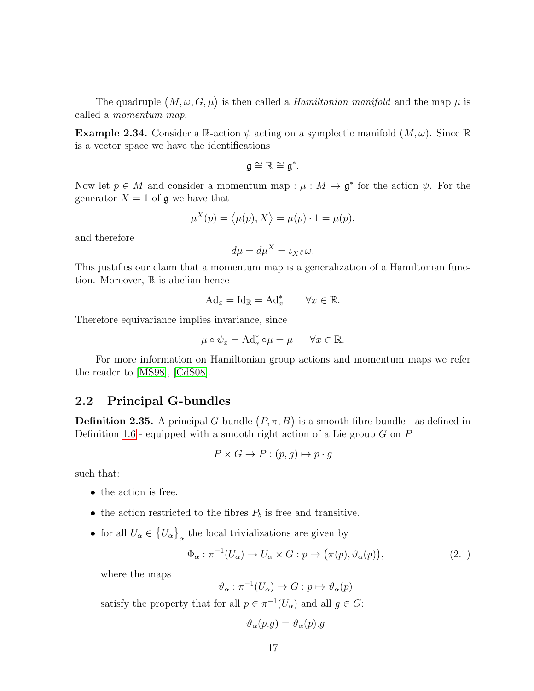The quadruple  $(M, \omega, G, \mu)$  is then called a *Hamiltonian manifold* and the map  $\mu$  is called a momentum map.

**Example 2.34.** Consider a R-action  $\psi$  acting on a symplectic manifold  $(M, \omega)$ . Since R is a vector space we have the identifications

$$
\mathfrak{g}\cong\mathbb{R}\cong\mathfrak{g}^*.
$$

Now let  $p \in M$  and consider a momentum map :  $\mu : M \to \mathfrak{g}^*$  for the action  $\psi$ . For the generator  $X = 1$  of  $\mathfrak g$  we have that

$$
\mu^X(p) = \langle \mu(p), X \rangle = \mu(p) \cdot 1 = \mu(p),
$$

and therefore

$$
d\mu = d\mu^X = \iota_{X^{\#}}\omega.
$$

This justifies our claim that a momentum map is a generalization of a Hamiltonian function. Moreover,  $\mathbb R$  is abelian hence

 $\mathrm{Ad}_x = \mathrm{Id}_{\mathbb{R}} = \mathrm{Ad}_x^* \qquad \forall x \in \mathbb{R}.$ 

Therefore equivariance implies invariance, since

$$
\mu \circ \psi_x = \mathrm{Ad}_x^* \circ \mu = \mu \qquad \forall x \in \mathbb{R}.
$$

For more information on Hamiltonian group actions and momentum maps we refer the reader to [\[MS98\]](#page-30-2), [\[CdS08\]](#page-30-3).

#### <span id="page-19-0"></span>2.2 Principal G-bundles

**Definition 2.35.** A principal G-bundle  $(P, \pi, B)$  is a smooth fibre bundle - as defined in Definition [1.6](#page-6-0) - equipped with a smooth right action of a Lie group  $G$  on  $P$ 

$$
P \times G \to P : (p, g) \mapsto p \cdot g
$$

such that:

- the action is free.
- the action restricted to the fibres  $P_b$  is free and transitive.
- for all  $U_{\alpha} \in \{U_{\alpha}\}_{\alpha}$  the local trivializations are given by

$$
\Phi_{\alpha} : \pi^{-1}(U_{\alpha}) \to U_{\alpha} \times G : p \mapsto (\pi(p), \vartheta_{\alpha}(p)), \tag{2.1}
$$

where the maps

$$
\vartheta_{\alpha} : \pi^{-1}(U_{\alpha}) \to G : p \mapsto \vartheta_{\alpha}(p)
$$

satisfy the property that for all  $p \in \pi^{-1}(U_\alpha)$  and all  $g \in G$ :

$$
\vartheta_\alpha(p.g) = \vartheta_\alpha(p).g
$$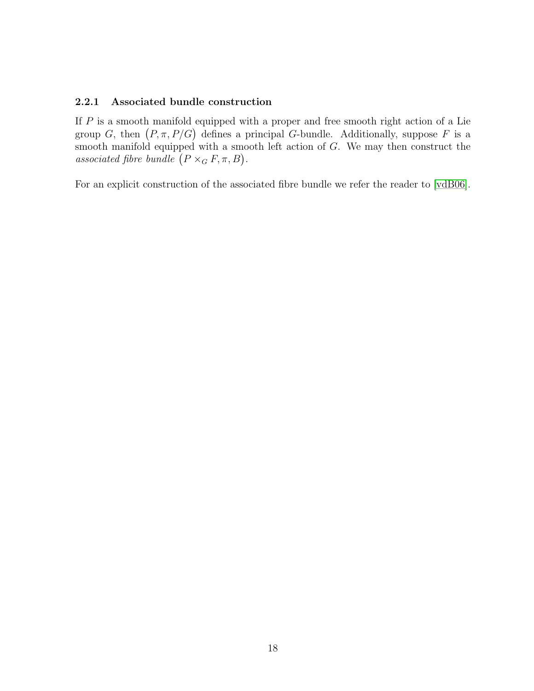#### <span id="page-20-0"></span>2.2.1 Associated bundle construction

If  $P$  is a smooth manifold equipped with a proper and free smooth right action of a Lie group G, then  $(P, \pi, P/G)$  defines a principal G-bundle. Additionally, suppose F is a smooth manifold equipped with a smooth left action of  $G$ . We may then construct the associated fibre bundle  $(P \times_G F, \pi, B)$ .

For an explicit construction of the associated fibre bundle we refer the reader to [\[vdB06\]](#page-30-4).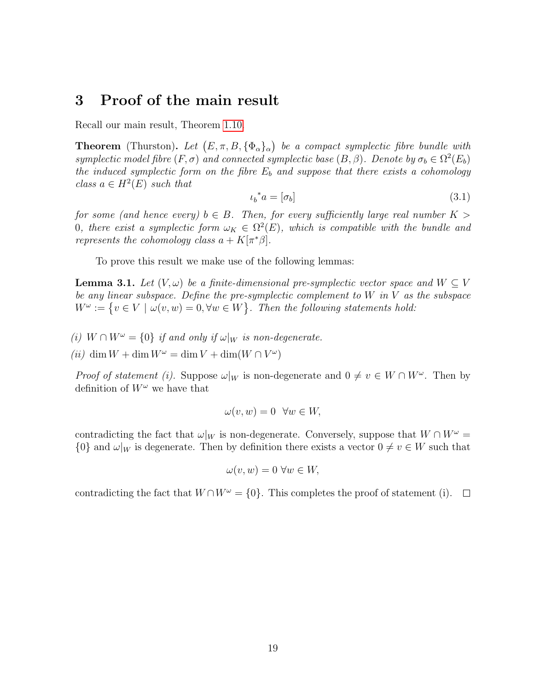### <span id="page-21-0"></span>3 Proof of the main result

Recall our main result, Theorem [1.10.](#page-7-1)

**Theorem** (Thurston). Let  $(E, \pi, B, {\Phi_{\alpha}}_{\alpha})$  be a compact symplectic fibre bundle with symplectic model fibre  $(F, \sigma)$  and connected symplectic base  $(B, \beta)$ . Denote by  $\sigma_b \in \Omega^2(E_b)$ the induced symplectic form on the fibre  $E<sub>b</sub>$  and suppose that there exists a cohomology class  $a \in H^2(E)$  such that

<span id="page-21-2"></span>
$$
\iota_b^* a = [\sigma_b] \tag{3.1}
$$

for some (and hence every)  $b \in B$ . Then, for every sufficiently large real number  $K >$ 0, there exist a symplectic form  $\omega_K \in \Omega^2(E)$ , which is compatible with the bundle and represents the cohomology class  $a + K[\pi^*\beta]$ .

To prove this result we make use of the following lemmas:

<span id="page-21-1"></span>**Lemma 3.1.** Let  $(V, \omega)$  be a finite-dimensional pre-symplectic vector space and  $W \subset V$ be any linear subspace. Define the pre-symplectic complement to  $W$  in  $V$  as the subspace  $W^{\omega} := \{v \in V \mid \omega(v, w) = 0, \forall w \in W\}.$  Then the following statements hold:

- (i)  $W \cap W^{\omega} = \{0\}$  if and only if  $\omega|_W$  is non-degenerate.
- (*ii*) dim  $W + \dim W^{\omega} = \dim V + \dim(W \cap V^{\omega})$

*Proof of statement (i).* Suppose  $\omega|_W$  is non-degenerate and  $0 \neq v \in W \cap W^\omega$ . Then by definition of  $W^{\omega}$  we have that

$$
\omega(v, w) = 0 \quad \forall w \in W,
$$

contradicting the fact that  $\omega|_W$  is non-degenerate. Conversely, suppose that  $W \cap W^{\omega} =$  ${0}$  and  $\omega|_W$  is degenerate. Then by definition there exists a vector  $0 \neq v \in W$  such that

$$
\omega(v, w) = 0 \,\forall w \in W,
$$

contradicting the fact that  $W \cap W^{\omega} = \{0\}$ . This completes the proof of statement (i).  $\square$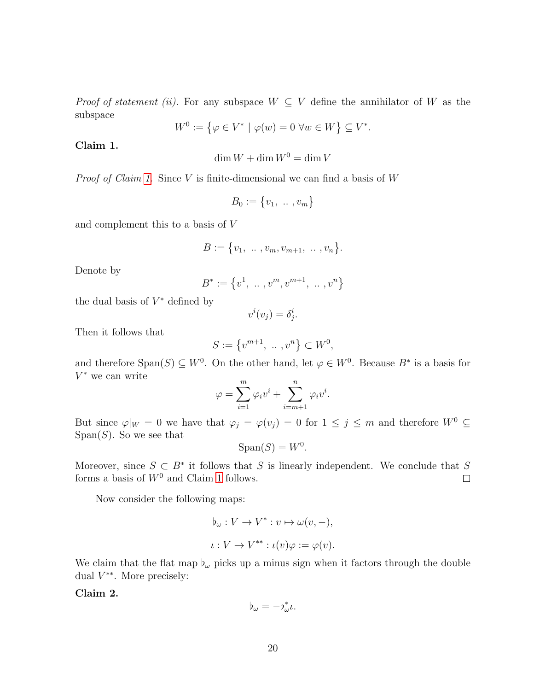*Proof of statement (ii).* For any subspace  $W \subseteq V$  define the annihilator of W as the subspace

$$
W^0 := \left\{ \varphi \in V^* \mid \varphi(w) = 0 \,\,\forall w \in W \right\} \subseteq V^*.
$$

Claim 1.

$$
\dim W + \dim W^0 = \dim V
$$

*Proof of Claim [1.](#page-14-2)* Since V is finite-dimensional we can find a basis of W

$$
B_0 := \{v_1, \ldots, v_m\}
$$

and complement this to a basis of V

$$
B := \{v_1, \ldots, v_m, v_{m+1}, \ldots, v_n\}.
$$

Denote by

$$
B^* := \left\{v^1, \dots, v^m, v^{m+1}, \dots, v^n\right\}
$$

the dual basis of  $V^*$  defined by

$$
v^i(v_j)=\delta^i_j.
$$

Then it follows that

$$
S := \left\{ v^{m+1}, \dots, v^n \right\} \subset W^0,
$$

and therefore  $Span(S) \subseteq W^0$ . On the other hand, let  $\varphi \in W^0$ . Because  $B^*$  is a basis for  $V^*$  we can write

$$
\varphi = \sum_{i=1}^{m} \varphi_i v^i + \sum_{i=m+1}^{n} \varphi_i v^i.
$$

But since  $\varphi|_W = 0$  we have that  $\varphi_j = \varphi(v_j) = 0$  for  $1 \le j \le m$  and therefore  $W^0 \subseteq$  $Span(S)$ . So we see that

$$
\mathrm{Span}(S) = W^0.
$$

Moreover, since  $S \subset B^*$  it follows that S is linearly independent. We conclude that S forms a basis of  $W^0$  and Claim [1](#page-14-2) follows.  $\Box$ 

Now consider the following maps:

$$
\flat_{\omega}: V \to V^* : v \mapsto \omega(v, -),
$$
  

$$
\iota: V \to V^{**} : \iota(v)\varphi := \varphi(v).
$$

We claim that the flat map  $\flat_{\omega}$  picks up a minus sign when it factors through the double dual  $V^{**}$ . More precisely:

Claim 2.

$$
\flat_\omega=-\flat_\omega^*\iota.
$$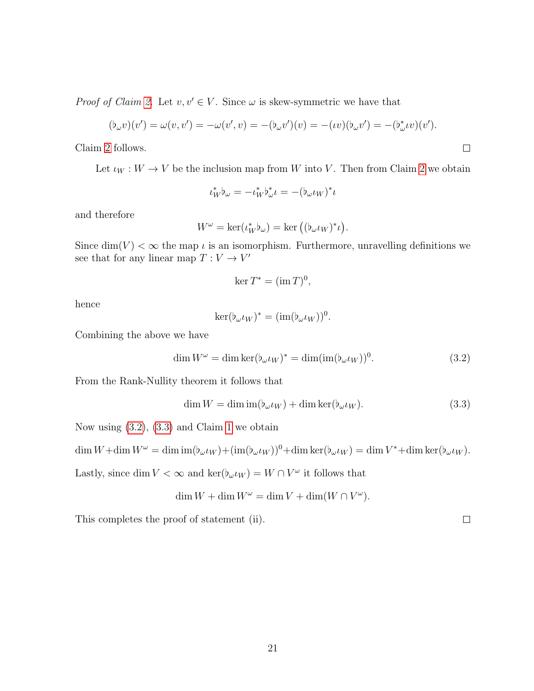*Proof of Claim [2.](#page-15-0)* Let  $v, v' \in V$ . Since  $\omega$  is skew-symmetric we have that

$$
(\phi_{\omega}v)(v') = \omega(v, v') = -\omega(v', v) = -(\phi_{\omega}v')(v) = -(\iota v)(\phi_{\omega}v') = -(\phi_{\omega}^*\iota v)(v').
$$

Claim [2](#page-15-0) follows.

Let  $\iota_W : W \to V$  be the inclusion map from W into V. Then from Claim [2](#page-15-0) we obtain

$$
\iota_W^* \flat_\omega = - \iota_W^* \flat_\omega^* \iota = - (\flat_\omega \iota_W)^* \iota
$$

and therefore

$$
W^{\omega} = \ker(\iota_W^* \flat_{\omega}) = \ker((\flat_{\omega} \iota_W)^* \iota).
$$

Since  $\dim(V) < \infty$  the map  $\iota$  is an isomorphism. Furthermore, unravelling definitions we see that for any linear map  $T: V \to V'$ 

$$
\ker T^* = (\operatorname{im} T)^0,
$$

hence

$$
\ker(\flat_{\omega}\iota_W)^* = (\mathrm{im}(\flat_{\omega}\iota_W))^0.
$$

Combining the above we have

<span id="page-23-0"></span>
$$
\dim W^{\omega} = \dim \ker (\flat_{\omega} \iota_W)^* = \dim (\mathrm{im} (\flat_{\omega} \iota_W))^0. \tag{3.2}
$$

 $\Box$ 

 $\Box$ 

From the Rank-Nullity theorem it follows that

<span id="page-23-1"></span>
$$
\dim W = \dim \text{im}(\flat_{\omega} \iota_W) + \dim \text{ker}(\flat_{\omega} \iota_W). \tag{3.3}
$$

Now using [\(3.2\)](#page-23-0), [\(3.3\)](#page-23-1) and Claim [1](#page-14-2) we obtain

$$
\dim W + \dim W^{\omega} = \dim \text{im}(\flat_{\omega} \iota_W) + (\text{im}(\flat_{\omega} \iota_W))^0 + \dim \ker(\flat_{\omega} \iota_W) = \dim V^* + \dim \ker(\flat_{\omega} \iota_W).
$$

Lastly, since dim  $V < \infty$  and  $\ker(\flat_{\omega} \iota_W) = W \cap V^{\omega}$  it follows that

$$
\dim W + \dim W^{\omega} = \dim V + \dim(W \cap V^{\omega}).
$$

This completes the proof of statement (ii).

21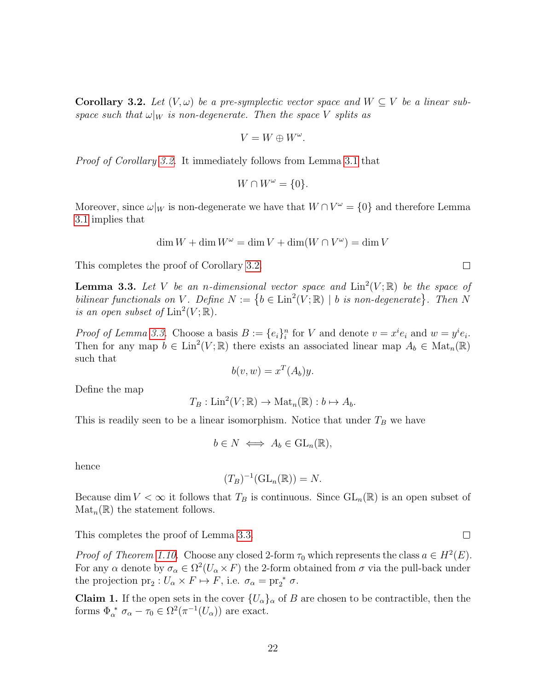<span id="page-24-0"></span>**Corollary 3.2.** Let  $(V, \omega)$  be a pre-symplectic vector space and  $W \subseteq V$  be a linear subspace such that  $\omega|_W$  is non-degenerate. Then the space V splits as

$$
V = W \oplus W^{\omega}.
$$

Proof of Corollary [3.2.](#page-24-0) It immediately follows from Lemma [3.1](#page-21-1) that

$$
W \cap W^{\omega} = \{0\}.
$$

Moreover, since  $\omega|_W$  is non-degenerate we have that  $W \cap V^{\omega} = \{0\}$  and therefore Lemma [3.1](#page-21-1) implies that

$$
\dim W + \dim W^{\omega} = \dim V + \dim(W \cap V^{\omega}) = \dim V
$$

This completes the proof of Corollary [3.2.](#page-24-0)

<span id="page-24-1"></span>**Lemma 3.3.** Let V be an n-dimensional vector space and  $\text{Lin}^2(V;\mathbb{R})$  be the space of bilinear functionals on V. Define  $N := \{b \in \text{Lin}^2(V; \mathbb{R}) \mid b \text{ is non-degenerate}\}\.$  Then N is an open subset of  $\text{Lin}^2(V; \mathbb{R})$ .

*Proof of Lemma [3.3.](#page-24-1)* Choose a basis  $B := \{e_i\}_i^n$  for V and denote  $v = x^i e_i$  and  $w = y^i e_i$ . Then for any map  $b \in \text{Lin}^2(V;\mathbb{R})$  there exists an associated linear map  $A_b \in \text{Mat}_n(\mathbb{R})$ such that

$$
b(v, w) = x^T(A_b)y.
$$

Define the map

$$
T_B: \mathrm{Lin}^2(V; \mathbb{R}) \to \mathrm{Mat}_n(\mathbb{R}): b \mapsto A_b.
$$

This is readily seen to be a linear isomorphism. Notice that under  $T_B$  we have

$$
b \in N \iff A_b \in \mathrm{GL}_n(\mathbb{R}),
$$

hence

$$
(T_B)^{-1}(\mathrm{GL}_n(\mathbb{R})) = N.
$$

Because dim  $V < \infty$  it follows that  $T_B$  is continuous. Since  $GL_n(\mathbb{R})$  is an open subset of  $\text{Mat}_n(\mathbb{R})$  the statement follows.

This completes the proof of Lemma [3.3.](#page-24-1)

*Proof of Theorem [1.10.](#page-7-1)* Choose any closed 2-form  $\tau_0$  which represents the class  $a \in H^2(E)$ . For any  $\alpha$  denote by  $\sigma_{\alpha} \in \Omega^2(U_{\alpha} \times F)$  the 2-form obtained from  $\sigma$  via the pull-back under the projection  $pr_2: U_\alpha \times F \mapsto F$ , i.e.  $\sigma_\alpha = pr_2^* \sigma$ .

**Claim 1.** If the open sets in the cover  $\{U_{\alpha}\}_\alpha$  of B are chosen to be contractible, then the forms  $\Phi_{\alpha}^* \sigma_{\alpha} - \tau_0 \in \Omega^2(\pi^{-1}(U_{\alpha}))$  are exact.

 $\Box$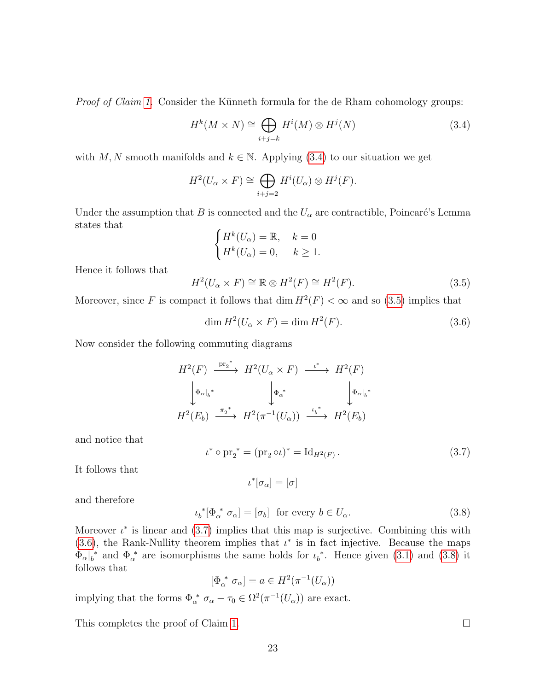Proof of Claim [1.](#page-14-2) Consider the Künneth formula for the de Rham cohomology groups:

<span id="page-25-0"></span>
$$
H^k(M \times N) \cong \bigoplus_{i+j=k} H^i(M) \otimes H^j(N) \tag{3.4}
$$

with M, N smooth manifolds and  $k \in \mathbb{N}$ . Applying [\(3.4\)](#page-25-0) to our situation we get

$$
H^2(U_\alpha \times F) \cong \bigoplus_{i+j=2} H^i(U_\alpha) \otimes H^j(F).
$$

Under the assumption that B is connected and the  $U_{\alpha}$  are contractible, Poincaré's Lemma states that

$$
\begin{cases} H^k(U_\alpha) = \mathbb{R}, & k = 0\\ H^k(U_\alpha) = 0, & k \ge 1. \end{cases}
$$

Hence it follows that

<span id="page-25-1"></span>
$$
H^2(U_\alpha \times F) \cong \mathbb{R} \otimes H^2(F) \cong H^2(F). \tag{3.5}
$$

Moreover, since F is compact it follows that dim  $H^2(F) < \infty$  and so [\(3.5\)](#page-25-1) implies that

<span id="page-25-3"></span>
$$
\dim H^2(U_\alpha \times F) = \dim H^2(F). \tag{3.6}
$$

Now consider the following commuting diagrams

$$
H^{2}(F) \xrightarrow{\text{pr}_{2}^{*}} H^{2}(U_{\alpha} \times F) \xrightarrow{\iota^{*}} H^{2}(F)
$$
  

$$
\downarrow_{\Phi_{\alpha}|_{b}^{*}} \qquad \qquad \downarrow_{\Phi_{\alpha}^{*}} \qquad \qquad \downarrow_{\Phi_{\alpha}|_{b}^{*}}
$$
  

$$
H^{2}(E_{b}) \xrightarrow{\pi_{2}^{*}} H^{2}(\pi^{-1}(U_{\alpha})) \xrightarrow{\iota_{b}^{*}} H^{2}(E_{b})
$$

and notice that

<span id="page-25-2"></span>
$$
\iota^* \circ \text{pr}_2^* = (\text{pr}_2 \circ \iota)^* = \text{Id}_{H^2(F)}.
$$
\n(3.7)

It follows that

 $\iota^*[\sigma_\alpha] = [\sigma]$ 

and therefore

<span id="page-25-4"></span>
$$
\iota_b^* [\Phi_\alpha^* \ \sigma_\alpha] = [\sigma_b] \quad \text{for every } b \in U_\alpha. \tag{3.8}
$$

Moreover  $\iota^*$  is linear and [\(3.7\)](#page-25-2) implies that this map is surjective. Combining this with [\(3.6\)](#page-25-3), the Rank-Nullity theorem implies that  $\iota^*$  is in fact injective. Because the maps  $\Phi_{\alpha}|_{b}^{*}$  and  $\Phi_{\alpha}^{*}$  are isomorphisms the same holds for  $\iota_{b}^{*}$ . Hence given [\(3.1\)](#page-21-2) and [\(3.8\)](#page-25-4) it follows that

$$
[\Phi_\alpha^* \ \sigma_\alpha] = a \in H^2(\pi^{-1}(U_\alpha))
$$

implying that the forms  $\Phi_{\alpha}^* \sigma_{\alpha} - \tau_0 \in \Omega^2(\pi^{-1}(U_{\alpha}))$  are exact.

This completes the proof of Claim [1.](#page-14-2)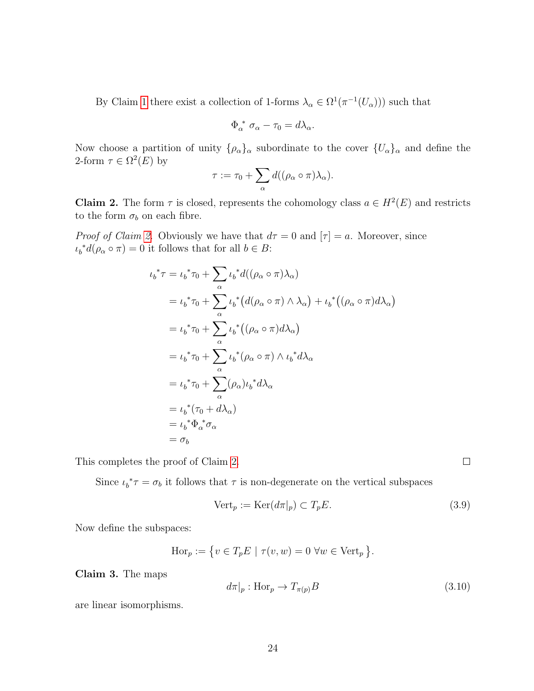By Claim [1](#page-14-2) there exist a collection of 1-forms  $\lambda_{\alpha} \in \Omega^1(\pi^{-1}(U_{\alpha}))$  such that

$$
\Phi_{\alpha}^* \sigma_{\alpha} - \tau_0 = d\lambda_{\alpha}.
$$

Now choose a partition of unity  $\{\rho_\alpha\}_\alpha$  subordinate to the cover  $\{U_\alpha\}_\alpha$  and define the 2-form  $\tau \in \Omega^2(E)$  by

$$
\tau := \tau_0 + \sum_{\alpha} d((\rho_{\alpha} \circ \pi) \lambda_{\alpha}).
$$

**Claim 2.** The form  $\tau$  is closed, represents the cohomology class  $a \in H^2(E)$  and restricts to the form  $\sigma_b$  on each fibre.

*Proof of Claim [2.](#page-15-0)* Obviously we have that  $d\tau = 0$  and  $[\tau] = a$ . Moreover, since  $\iota_b^* d(\rho_\alpha \circ \pi) = 0$  it follows that for all  $b \in B$ :

$$
\iota_b^* \tau = \iota_b^* \tau_0 + \sum_{\alpha} \iota_b^* d((\rho_\alpha \circ \pi) \lambda_\alpha)
$$
  
\n
$$
= \iota_b^* \tau_0 + \sum_{\alpha} \iota_b^* (d(\rho_\alpha \circ \pi) \wedge \lambda_\alpha) + \iota_b^* ((\rho_\alpha \circ \pi) d \lambda_\alpha)
$$
  
\n
$$
= \iota_b^* \tau_0 + \sum_{\alpha} \iota_b^* ((\rho_\alpha \circ \pi) d \lambda_\alpha)
$$
  
\n
$$
= \iota_b^* \tau_0 + \sum_{\alpha} \iota_b^* (\rho_\alpha \circ \pi) \wedge \iota_b^* d \lambda_\alpha
$$
  
\n
$$
= \iota_b^* \tau_0 + \sum_{\alpha} (\rho_\alpha) \iota_b^* d \lambda_\alpha
$$
  
\n
$$
= \iota_b^* (\tau_0 + d \lambda_\alpha)
$$
  
\n
$$
= \iota_b^* \Phi_a^* \sigma_\alpha
$$
  
\n
$$
= \sigma_b
$$

This completes the proof of Claim [2.](#page-15-0)

Since  $\iota_b^* \tau = \sigma_b$  it follows that  $\tau$  is non-degenerate on the vertical subspaces

<span id="page-26-1"></span>
$$
\text{Vert}_p := \text{Ker}(d\pi|_p) \subset T_p E. \tag{3.9}
$$

Now define the subspaces:

$$
Hor_p := \{ v \in T_pE \mid \tau(v, w) = 0 \,\forall w \in Vert_p \}.
$$

<span id="page-26-0"></span>Claim 3. The maps

$$
d\pi|_p: \text{Hor}_p \to T_{\pi(p)}B \tag{3.10}
$$

are linear isomorphisms.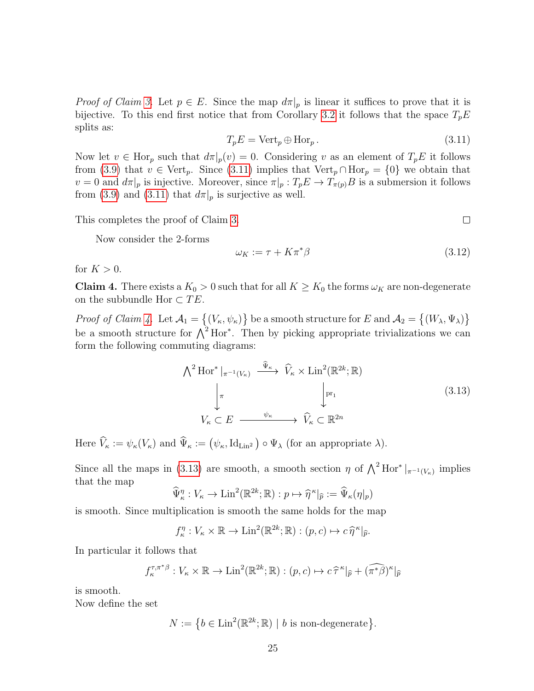*Proof of Claim [3.](#page-26-0)* Let  $p \in E$ . Since the map  $d\pi|_p$  is linear it suffices to prove that it is bijective. To this end first notice that from Corollary [3.2](#page-24-0) it follows that the space  $T_pE$ splits as:

<span id="page-27-0"></span>
$$
T_p E = \text{Vert}_p \oplus \text{Hor}_p. \tag{3.11}
$$

Now let  $v \in \text{Hor}_p$  such that  $d\pi|_p(v) = 0$ . Considering v as an element of  $T_pE$  it follows from [\(3.9\)](#page-26-1) that  $v \in \text{Vert}_p$ . Since [\(3.11\)](#page-27-0) implies that  $\text{Vert}_p \cap \text{Hor}_p = \{0\}$  we obtain that  $v = 0$  and  $d\pi|_p$  is injective. Moreover, since  $\pi|_p : T_p E \to T_{\pi(p)}B$  is a submersion it follows from [\(3.9\)](#page-26-1) and [\(3.11\)](#page-27-0) that  $d\pi|_p$  is surjective as well.

This completes the proof of Claim [3.](#page-26-0)

Now consider the 2-forms

$$
\omega_K := \tau + K\pi^*\beta \tag{3.12}
$$

for  $K > 0$ .

<span id="page-27-1"></span>**Claim 4.** There exists a  $K_0 > 0$  such that for all  $K \geq K_0$  the forms  $\omega_K$  are non-degenerate on the subbundle Hor  $\subset TE$ .

*Proof of Claim [4.](#page-27-1)* Let  $\mathcal{A}_1 = \{(V_\kappa, \psi_\kappa)\}\$ be a smooth structure for E and  $\mathcal{A}_2 = \{(W_\lambda, \Psi_\lambda)\}\$ be a smooth structure for  $\Lambda^2$  Hor<sup>∗</sup>. Then by picking appropriate trivializations we can form the following commuting diagrams:

<span id="page-27-2"></span>
$$
\bigwedge^2 \text{Hor}^* \mid_{\pi^{-1}(V_\kappa)} \xrightarrow{\widehat{\Psi}_{\kappa}} \widehat{V}_{\kappa} \times \text{Lin}^2(\mathbb{R}^{2k}; \mathbb{R})
$$
\n
$$
\downarrow^{\pi} \qquad \qquad \downarrow^{\text{pr}_1} \qquad (3.13)
$$
\n
$$
V_{\kappa} \subset E \xrightarrow{\psi_{\kappa}} \widehat{V}_{\kappa} \subset \mathbb{R}^{2n}
$$

Here  $\hat{V}_{\kappa} := \psi_{\kappa}(V_{\kappa})$  and  $\hat{\Psi}_{\kappa} := (\psi_{\kappa}, \mathrm{Id}_{\mathrm{Lin}^2}) \circ \Psi_{\lambda}$  (for an appropriate  $\lambda$ ).

Since all the maps in [\(3.13\)](#page-27-2) are smooth, a smooth section  $\eta$  of  $\bigwedge^2 \text{Hor}^*|_{\pi^{-1}(V_{\kappa})}$  implies that the map

$$
\widehat{\Psi}_{\kappa}^{\eta}: V_{\kappa} \to \mathrm{Lin}^{2}(\mathbb{R}^{2k}; \mathbb{R}): p \mapsto \widehat{\eta}^{\kappa}|_{\widehat{p}} := \widehat{\Psi}_{\kappa}(\eta|_{p})
$$

is smooth. Since multiplication is smooth the same holds for the map

 $f_{\kappa}^{\eta}: V_{\kappa} \times \mathbb{R} \to \text{Lin}^{2}(\mathbb{R}^{2k}; \mathbb{R}): (p, c) \mapsto c \, \hat{\eta}^{\kappa}|_{\hat{p}}.$ 

In particular it follows that

$$
f_{\kappa}^{\tau,\pi^*\beta}: V_{\kappa} \times \mathbb{R} \to \text{Lin}^2(\mathbb{R}^{2k}; \mathbb{R}): (p, c) \mapsto c\,\widehat{\tau}^{\kappa}|_{\widehat{p}} + (\widehat{\pi^*\beta})^{\kappa}|_{\widehat{p}}
$$

is smooth.

Now define the set

$$
N := \{ b \in \text{Lin}^2(\mathbb{R}^{2k}; \mathbb{R}) \mid b \text{ is non-degenerate} \}.
$$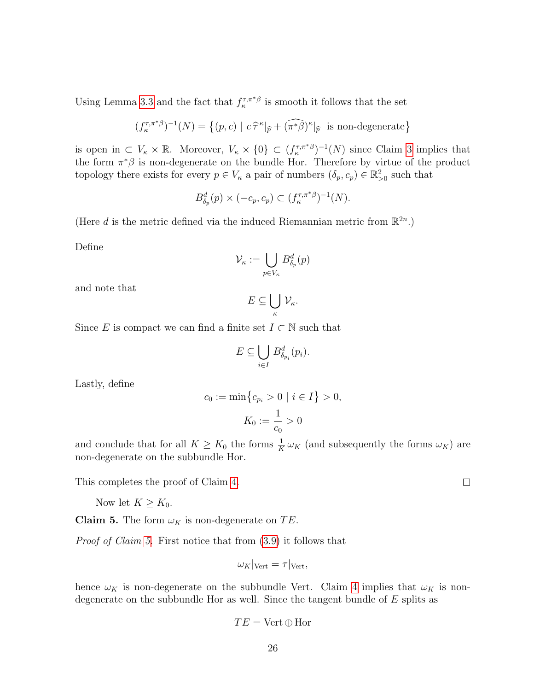Using Lemma [3.3](#page-24-1) and the fact that  $f_{\kappa}^{\tau,\pi^*\beta}$  is smooth it follows that the set

$$
(f_{\kappa}^{\tau,\pi^*\beta})^{-1}(N) = \left\{ (p,c) \mid c\,\widehat{\tau}^{\kappa} \vert_{\widehat{p}} + (\widehat{\pi^*\beta})^{\kappa} \vert_{\widehat{p}} \text{ is non-degenerate} \right\}
$$

is open in  $\subset V_{\kappa} \times \mathbb{R}$ . Moreover,  $V_{\kappa} \times \{0\} \subset (f_{\kappa}^{\tau,\pi^*\beta})^{-1}(N)$  since Claim [3](#page-26-0) implies that the form  $\pi^*\beta$  is non-degenerate on the bundle Hor. Therefore by virtue of the product topology there exists for every  $p \in V_{\kappa}$  a pair of numbers  $(\delta_p, c_p) \in \mathbb{R}_{\geq 0}^2$  such that

$$
B_{\delta_p}^d(p) \times (-c_p, c_p) \subset (f_{\kappa}^{\tau, \pi^* \beta})^{-1}(N).
$$

(Here d is the metric defined via the induced Riemannian metric from  $\mathbb{R}^{2n}$ .)

Define

$$
\mathcal{V}_{\kappa} := \bigcup_{p \in V_{\kappa}} B_{\delta_p}^d(p)
$$

and note that

$$
E\subseteq \bigcup_{\kappa}\,\mathcal{V}_{\kappa}.
$$

Since E is compact we can find a finite set  $I \subset \mathbb{N}$  such that

$$
E \subseteq \bigcup_{i \in I} B_{\delta_{p_i}}^d(p_i).
$$

Lastly, define

$$
c_0 := \min\{c_{p_i} > 0 \mid i \in I\} > 0,
$$
  

$$
K_0 := \frac{1}{c_0} > 0
$$

and conclude that for all  $K \geq K_0$  the forms  $\frac{1}{K} \omega_K$  (and subsequently the forms  $\omega_K$ ) are non-degenerate on the subbundle Hor.

This completes the proof of Claim [4.](#page-27-1)

Now let  $K \geq K_0$ .

<span id="page-28-0"></span>**Claim 5.** The form  $\omega_K$  is non-degenerate on TE.

Proof of Claim [5.](#page-28-0) First notice that from  $(3.9)$  it follows that

$$
\omega_K|_{\text{Vert}} = \tau|_{\text{Vert}},
$$

hence  $\omega_K$  is non-degenerate on the subbundle Vert. Claim [4](#page-27-1) implies that  $\omega_K$  is nondegenerate on the subbundle Hor as well. Since the tangent bundle of  $E$  splits as

$$
TE = \text{Vert} \oplus \text{Hor}
$$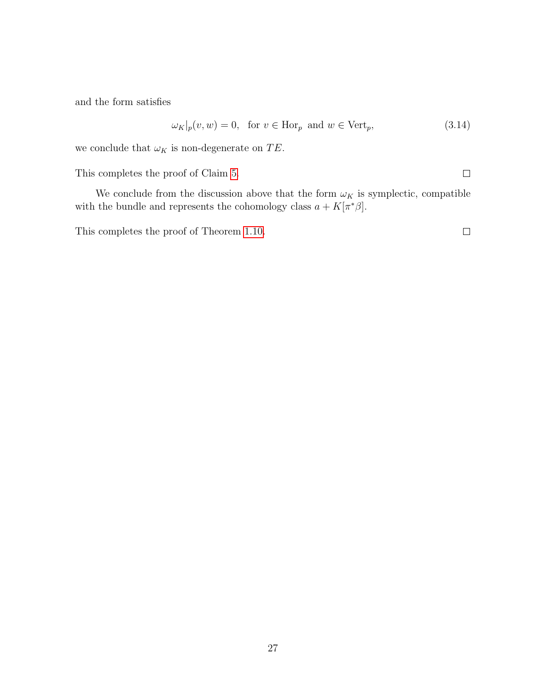and the form satisfies

$$
\omega_K|_p(v, w) = 0, \text{ for } v \in \text{Hor}_p \text{ and } w \in \text{Vert}_p,
$$
\n(3.14)

 $\Box$ 

 $\Box$ 

we conclude that  $\omega_K$  is non-degenerate on  $TE.$ 

This completes the proof of Claim [5.](#page-28-0)

We conclude from the discussion above that the form  $\omega_K$  is symplectic, compatible with the bundle and represents the cohomology class  $a + K[\pi^*\beta]$ .

This completes the proof of Theorem [1.10.](#page-7-1)

27